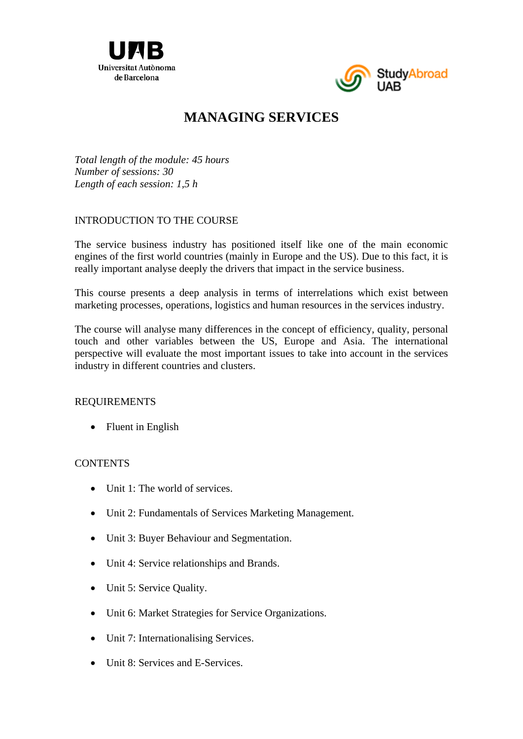



# **MANAGING SERVICES**

*Total length of the module: 45 hours Number of sessions: 30 Length of each session: 1,5 h* 

## INTRODUCTION TO THE COURSE

The service business industry has positioned itself like one of the main economic engines of the first world countries (mainly in Europe and the US). Due to this fact, it is really important analyse deeply the drivers that impact in the service business.

This course presents a deep analysis in terms of interrelations which exist between marketing processes, operations, logistics and human resources in the services industry.

The course will analyse many differences in the concept of efficiency, quality, personal touch and other variables between the US, Europe and Asia. The international perspective will evaluate the most important issues to take into account in the services industry in different countries and clusters.

### REQUIREMENTS

• Fluent in English

### **CONTENTS**

- $\bullet$  Unit 1: The world of services.
- Unit 2: Fundamentals of Services Marketing Management.
- Unit 3: Buyer Behaviour and Segmentation.
- Unit 4: Service relationships and Brands.
- Unit 5: Service Quality.
- Unit 6: Market Strategies for Service Organizations.
- Unit 7: Internationalising Services.
- Unit 8: Services and E-Services.